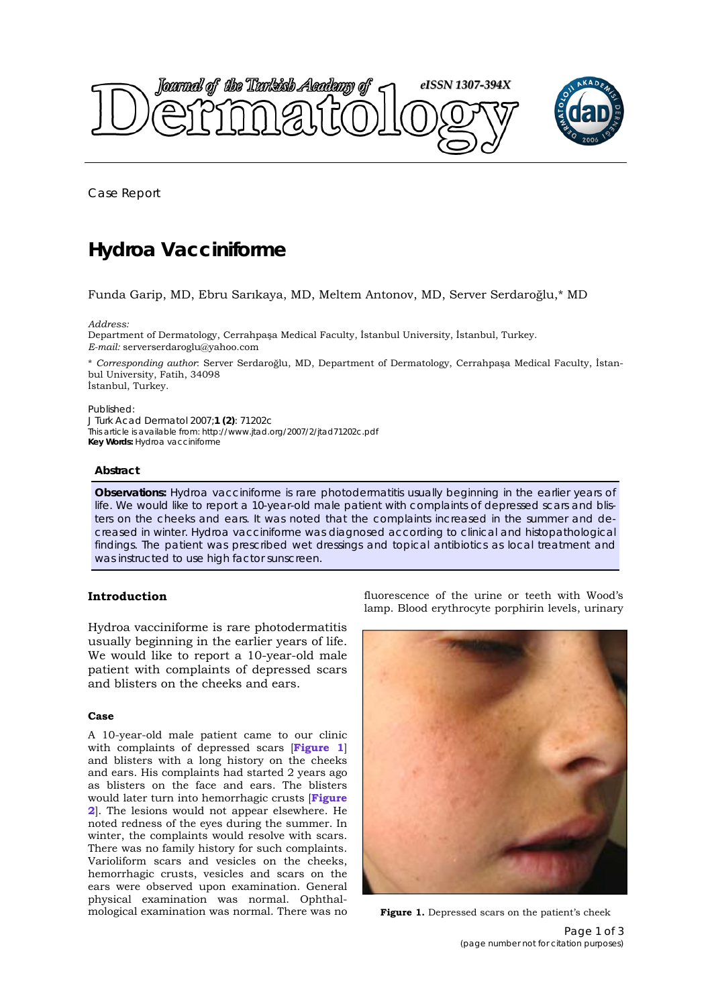

Case Report

# **Hydroa Vacciniforme**

## Funda Garip, MD, Ebru Sarıkaya, MD, Meltem Antonov, MD, Server Serdaroğlu,\* MD

*Address:* 

Department of Dermatology, Cerrahpaşa Medical Faculty, İstanbul University, İstanbul, Turkey. *E-mail:* serverserdaroglu@yahoo.com

\* *Corresponding author*: Server Serdaroğlu, MD, Department of Dermatology, Cerrahpaşa Medical Faculty, İstanbul University, Fatih, 34098 İstanbul, Turkey.

Published:

*J Turk Acad Dermatol* 2007;**1 (2)**: 71202c This article is available from: http://www.jtad.org/2007/2/jtad71202c.pdf **Key Words:** Hydroa vacciniforme

### **Abstract**

**Observations:** Hydroa vacciniforme is rare photodermatitis usually beginning in the earlier years of life. We would like to report a 10-year-old male patient with complaints of depressed scars and blisters on the cheeks and ears. It was noted that the complaints increased in the summer and decreased in winter. Hydroa vacciniforme was diagnosed according to clinical and histopathological findings. The patient was prescribed wet dressings and topical antibiotics as local treatment and was instructed to use high factor sunscreen.

## **Introduction**

Hydroa vacciniforme is rare photodermatitis usually beginning in the earlier years of life. We would like to report a 10-year-old male patient with complaints of depressed scars and blisters on the cheeks and ears.

#### **Case**

A 10-year-old male patient came to our clinic with complaints of depressed scars [**Figure 1**] and blisters with a long history on the cheeks and ears. His complaints had started 2 years ago as blisters on the face and ears. The blisters would later turn into hemorrhagic crusts [**Figure 2**[\]. The lesions would not appear elsewhere. He](#page-1-0) noted redness of the eyes during the summer. In winter, the complaints would resolve with scars. There was no family history for such complaints. Varioliform scars and vesicles on the cheeks, hemorrhagic crusts, vesicles and scars on the ears were observed upon examination. General physical examination was normal. Ophthalmological examination was normal. There was no

fluorescence of the urine or teeth with Wood's lamp. Blood erythrocyte porphirin levels, urinary



Figure 1. Depressed scars on the patient's cheek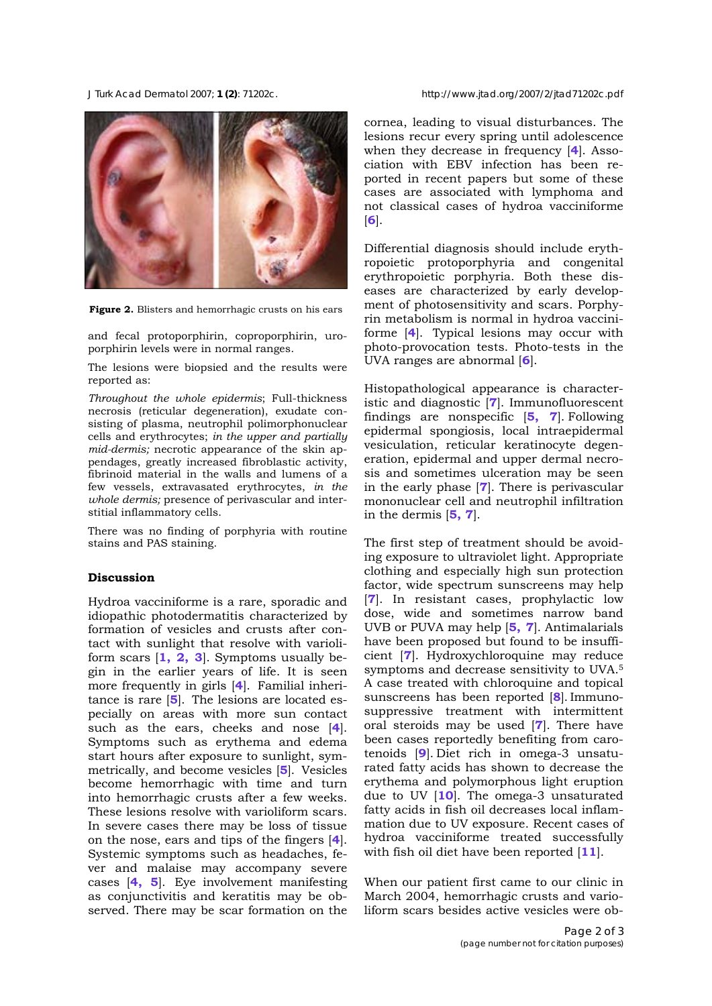<span id="page-1-0"></span>*J Turk Acad Dermatol* 2007; **1 (2)**: 71202c. http://www.jtad.org/2007/2/jtad71202c.pdf



**Figure 2.** Blisters and hemorrhagic crusts on his ears

and fecal protoporphirin, coproporphirin, uroporphirin levels were in normal ranges.

The lesions were biopsied and the results were reported as:

*Throughout the whole epidermis*; Full-thickness necrosis (reticular degeneration), exudate consisting of plasma, neutrophil polimorphonuclear cells and erythrocytes; *in the upper and partially mid-dermis;* necrotic appearance of the skin appendages, greatly increased fibroblastic activity, fibrinoid material in the walls and lumens of a few vessels, extravasated erythrocytes, *in the whole dermis;* presence of perivascular and interstitial inflammatory cells.

There was no finding of porphyria with routine stains and PAS staining.

## **Discussion**

Hydroa vacciniforme is a rare, sporadic and idiopathic photodermatitis characterized by formation of vesicles and crusts after contact with sunlight that resolve with varioliform scars [**[1, 2, 3](#page-2-0)**]. Symptoms usually begin in the earlier years of life. It is seen more frequently in girls [**[4](#page-2-0)**]. Familial inheritance is rare [**[5](#page-2-0)**]. The lesions are located especially on areas with more sun contact such as the ears, cheeks and nose [**[4](#page-2-0)**]. Symptoms such as erythema and edema start hours after exposure to sunlight, symmetrically, and become vesicles [**[5](#page-2-0)**]. Vesicles become hemorrhagic with time and turn into hemorrhagic crusts after a few weeks. These lesions resolve with varioliform scars. In severe cases there may be loss of tissue on the nose, ears and tips of the fingers [**4**[\].](#page-2-0)  Systemic symptoms such as headaches, fever and malaise may accompany severe cases [**[4,](#page-2-0) 5**[\].](#page-2-0) Eye involvement manifesting as conjunctivitis and keratitis may be observed. There may be scar formation on the

cornea, leading to visual disturbances. The lesions recur every spring until adolescence when they decrease in frequency [**[4](#page-2-0)**]. Association with EBV infection has been reported in recent papers but some of these cases are associated with lymphoma and not classical cases of hydroa vacciniforme [**[6](#page-2-0)**].

Differential diagnosis should include erythropoietic protoporphyria and congenital erythropoietic porphyria. Both these diseases are characterized by early development of photosensitivity and scars. Porphyrin metabolism is normal in hydroa vacciniforme [**[4](#page-2-0)**]. Typical lesions may occur with photo-provocation tests. Photo-tests in the UVA ranges are abnormal [**[6](#page-2-0)**].

Histopathological appearance is characteristic and diagnostic [**[7](#page-2-0)**]. Immunofluorescent findings are nonspecific [**[5, 7](#page-2-0)**]. Following epidermal spongiosis, local intraepidermal vesiculation, reticular keratinocyte degeneration, epidermal and upper dermal necrosis and sometimes ulceration may be seen in the early phase [**7**]. There is perivascular mononuclear cell and neutrophil infiltration in the dermis [**5, 7**].

The first step of treatment should be avoiding exposure to ultraviolet light. Appropriate clothing and especially high sun protection factor, wide spectrum sunscreens may help [**7**]. In resistant cases, prophylactic low dose, wide and sometimes narrow band UVB or PUVA may help [**5, [7](#page-2-0)**]. Antimalarials have been proposed but found to be insufficient [**7**]. Hydroxychloroquine may reduce symptoms and decrease sensitivity to UVA.5 A case treated with chloroquine and topical sunscreens has been reported [**[8](#page-2-0)**]. Immunosuppressive treatment with intermittent oral steroids may be used [**7**]. There have been cases reportedly benefiting from carotenoids [**[9](#page-2-0)**]. Diet rich in omega-3 unsaturated fatty acids has shown to decrease the erythema and polymorphous light eruption due to UV [**[10](#page-2-0)**]. The omega-3 unsaturated fatty acids in fish oil decreases local inflammation due to UV exposure. Recent cases of hydroa vacciniforme treated successfully with fish oil diet have been reported [**[11](#page-2-0)**].

When our patient first came to our clinic in March 2004, hemorrhagic crusts and varioliform scars besides active vesicles were ob-